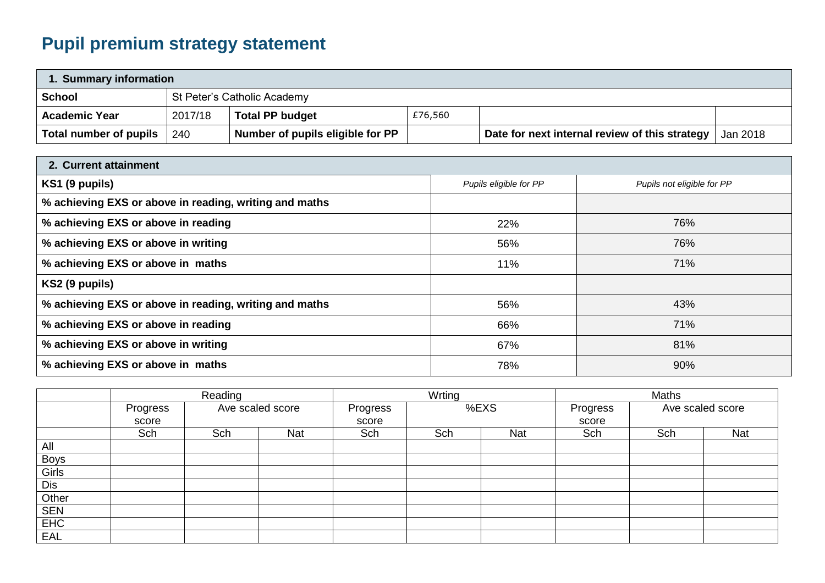## **Pupil premium strategy statement**

| 1. Summary information |         |                                  |         |                                                                  |  |  |  |
|------------------------|---------|----------------------------------|---------|------------------------------------------------------------------|--|--|--|
| <b>School</b>          |         | St Peter's Catholic Academy      |         |                                                                  |  |  |  |
| <b>Academic Year</b>   | 2017/18 | <b>Total PP budget</b>           | £76,560 |                                                                  |  |  |  |
| Total number of pupils | 240     | Number of pupils eligible for PP |         | <b>Date for next internal review of this strategy</b>   Jan 2018 |  |  |  |

| 2. Current attainment                                  |                        |                            |  |  |
|--------------------------------------------------------|------------------------|----------------------------|--|--|
| KS1 (9 pupils)                                         | Pupils eligible for PP | Pupils not eligible for PP |  |  |
| % achieving EXS or above in reading, writing and maths |                        |                            |  |  |
| % achieving EXS or above in reading                    | 22%                    | 76%                        |  |  |
| % achieving EXS or above in writing                    | 56%                    | 76%                        |  |  |
| % achieving EXS or above in maths                      | 11%                    | 71%                        |  |  |
| KS2 (9 pupils)                                         |                        |                            |  |  |
| % achieving EXS or above in reading, writing and maths | 56%                    | 43%                        |  |  |
| % achieving EXS or above in reading                    | 66%                    | 71%                        |  |  |
| % achieving EXS or above in writing                    | 67%                    | 81%                        |  |  |
| % achieving EXS or above in maths                      | 78%                    | 90%                        |  |  |

|             | Reading  |                  |     | Wrting   |     |            | Maths    |       |                  |  |
|-------------|----------|------------------|-----|----------|-----|------------|----------|-------|------------------|--|
|             | Progress | Ave scaled score |     | Progress |     | %EXS       | Progress |       | Ave scaled score |  |
|             | score    |                  |     | score    |     |            |          | score |                  |  |
|             | Sch      | Sch              | Nat | Sch      | Sch | <b>Nat</b> | Sch      | Sch   | Nat              |  |
| All         |          |                  |     |          |     |            |          |       |                  |  |
| <b>Boys</b> |          |                  |     |          |     |            |          |       |                  |  |
| Girls       |          |                  |     |          |     |            |          |       |                  |  |
| Dis         |          |                  |     |          |     |            |          |       |                  |  |
| Other       |          |                  |     |          |     |            |          |       |                  |  |
| <b>SEN</b>  |          |                  |     |          |     |            |          |       |                  |  |
| EHC         |          |                  |     |          |     |            |          |       |                  |  |
| EAL         |          |                  |     |          |     |            |          |       |                  |  |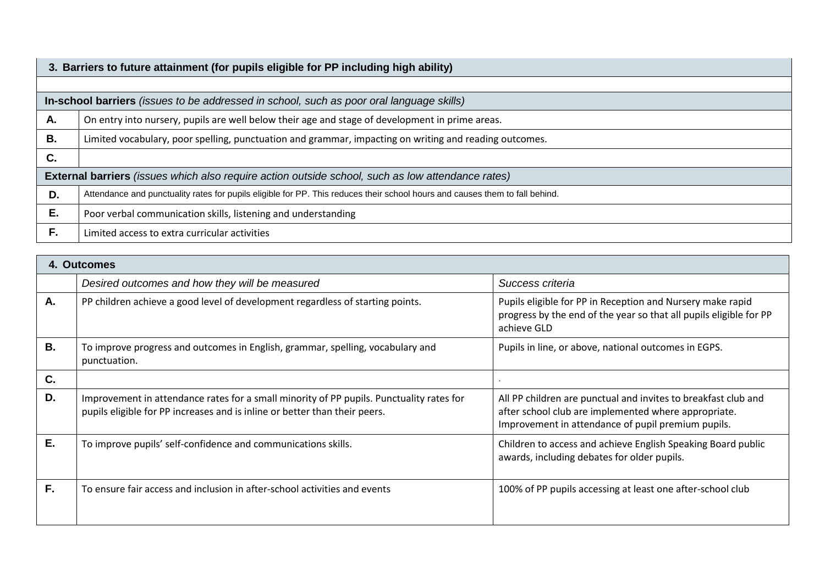|                                                                                                          | 3. Barriers to future attainment (for pupils eligible for PP including high ability)                                         |  |  |  |  |  |
|----------------------------------------------------------------------------------------------------------|------------------------------------------------------------------------------------------------------------------------------|--|--|--|--|--|
|                                                                                                          |                                                                                                                              |  |  |  |  |  |
| In-school barriers (issues to be addressed in school, such as poor oral language skills)                 |                                                                                                                              |  |  |  |  |  |
| Α.                                                                                                       | On entry into nursery, pupils are well below their age and stage of development in prime areas.                              |  |  |  |  |  |
| В.                                                                                                       | Limited vocabulary, poor spelling, punctuation and grammar, impacting on writing and reading outcomes.                       |  |  |  |  |  |
| C.                                                                                                       |                                                                                                                              |  |  |  |  |  |
| <b>External barriers</b> (issues which also require action outside school, such as low attendance rates) |                                                                                                                              |  |  |  |  |  |
| D.                                                                                                       | Attendance and punctuality rates for pupils eligible for PP. This reduces their school hours and causes them to fall behind. |  |  |  |  |  |
| Ε.                                                                                                       | Poor verbal communication skills, listening and understanding                                                                |  |  |  |  |  |
| F.                                                                                                       | Limited access to extra curricular activities                                                                                |  |  |  |  |  |

| 4. Outcomes |                                                                                                                                                                        |                                                                                                                                                                              |  |  |
|-------------|------------------------------------------------------------------------------------------------------------------------------------------------------------------------|------------------------------------------------------------------------------------------------------------------------------------------------------------------------------|--|--|
|             | Desired outcomes and how they will be measured                                                                                                                         | Success criteria                                                                                                                                                             |  |  |
| Α.          | PP children achieve a good level of development regardless of starting points.                                                                                         | Pupils eligible for PP in Reception and Nursery make rapid<br>progress by the end of the year so that all pupils eligible for PP<br>achieve GLD                              |  |  |
| В.          | To improve progress and outcomes in English, grammar, spelling, vocabulary and<br>punctuation.                                                                         | Pupils in line, or above, national outcomes in EGPS.                                                                                                                         |  |  |
| C.          |                                                                                                                                                                        |                                                                                                                                                                              |  |  |
| D.          | Improvement in attendance rates for a small minority of PP pupils. Punctuality rates for<br>pupils eligible for PP increases and is inline or better than their peers. | All PP children are punctual and invites to breakfast club and<br>after school club are implemented where appropriate.<br>Improvement in attendance of pupil premium pupils. |  |  |
| Ε.          | To improve pupils' self-confidence and communications skills.                                                                                                          | Children to access and achieve English Speaking Board public<br>awards, including debates for older pupils.                                                                  |  |  |
| F.          | To ensure fair access and inclusion in after-school activities and events                                                                                              | 100% of PP pupils accessing at least one after-school club                                                                                                                   |  |  |